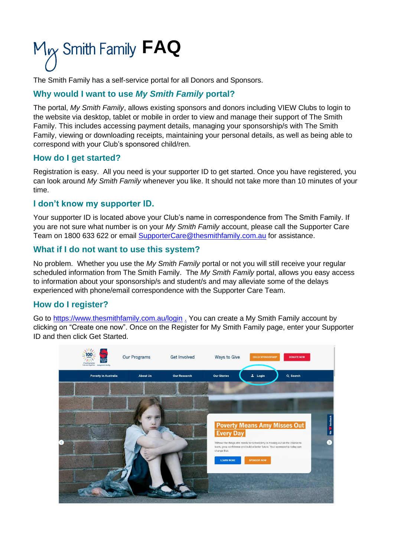# M<sub>Y</sub> Smith Family FAQ

The Smith Family has a self-service portal for all Donors and Sponsors.

## **Why would I want to use** *My Smith Family* **portal?**

The portal, *My Smith Family*, allows existing sponsors and donors including VIEW Clubs to login to the website via desktop, tablet or mobile in order to view and manage their support of The Smith Family. This includes accessing payment details, managing your sponsorship/s with The Smith Family, viewing or downloading receipts, maintaining your personal details, as well as being able to correspond with your Club's sponsored child/ren.

## **How do I get started?**

Registration is easy. All you need is your supporter ID to get started. Once you have registered, you can look around *My Smith Family* whenever you like. It should not take more than 10 minutes of your time.

## **I don't know my supporter ID.**

Your supporter ID is located above your Club's name in correspondence from The Smith Family. If you are not sure what number is on your *My Smith Family* account, please call the Supporter Care Team on 1800 633 622 or email [SupporterCare@thesmithfamily.com.au](mailto:SupporterCare@thesmithfamily.com.au) for assistance.

## **What if I do not want to use this system?**

No problem. Whether you use the *My Smith Family* portal or not you will still receive your regular scheduled information from The Smith Family. The *My Smith Family* portal, allows you easy access to information about your sponsorship/s and student/s and may alleviate some of the delays experienced with phone/email correspondence with the Supporter Care Team.

## **How do I register?**

Go to<https://www.thesmithfamily.com.au/login> . You can create a My Smith Family account by clicking on "Create one now". Once on the Register for My Smith Family page, enter your Supporter ID and then click Get Started.

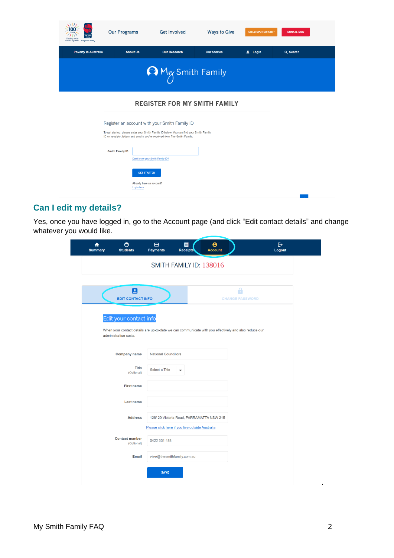| futures together everyone's family | <b>Our Programs</b>    | <b>Get Involved</b>                                                                                                                                                                                                   | <b>Ways to Give</b>                  | <b>CHILD SPONSORSHIP</b> | <b>DONATE NOW</b> |  |
|------------------------------------|------------------------|-----------------------------------------------------------------------------------------------------------------------------------------------------------------------------------------------------------------------|--------------------------------------|--------------------------|-------------------|--|
| <b>Poverty in Australia</b>        |                        | <b>About Us</b><br><b>Our Research</b>                                                                                                                                                                                | <b>Our Stories</b>                   | 2 Login                  | Q Search          |  |
|                                    |                        |                                                                                                                                                                                                                       | <b>A</b> M <sub>M</sub> Smith Family |                          |                   |  |
|                                    |                        | <b>REGISTER FOR MY SMITH FAMILY</b>                                                                                                                                                                                   |                                      |                          |                   |  |
|                                    |                        | Register an account with your Smith Family ID<br>To get started, please enter your Smith Family ID below. You can find your Smith Family<br>ID on receipts, letters and emails you've received from The Smith Family. |                                      |                          |                   |  |
|                                    | <b>Smith Family ID</b> | Don't know your Smith Family ID?                                                                                                                                                                                      |                                      |                          |                   |  |
|                                    |                        | <b>GET STARTED</b><br>Already have an account?<br>Login here                                                                                                                                                          |                                      |                          |                   |  |

## **Can I edit my details?**

Yes, once you have logged in, go to the Account page (and click "Edit contact details" and change whatever you would like.

| A<br><b>Summary</b> | ⊙<br><b>Students</b>                                                                                                           | ⊟<br><b>Payments</b>        | 目<br><b>Receipts</b>                            | $\boldsymbol{\Theta}$<br><b>Account</b>  |                             | $\ddot{\mathbf{r}}$<br>Logout |
|---------------------|--------------------------------------------------------------------------------------------------------------------------------|-----------------------------|-------------------------------------------------|------------------------------------------|-----------------------------|-------------------------------|
|                     |                                                                                                                                |                             | SMITH FAMILY ID: 138016                         |                                          |                             |                               |
|                     | $\mathbf{B}$<br><b>EDIT CONTACT INFO</b>                                                                                       |                             |                                                 |                                          | ä<br><b>CHANGE PASSWORD</b> |                               |
|                     | Edit your contact info<br>When your contact details are up-to-date we can communicate with you effectively and also reduce our |                             |                                                 |                                          |                             |                               |
|                     | administration costs.<br><b>Company name</b>                                                                                   | <b>National Councillors</b> |                                                 |                                          |                             |                               |
|                     | <b>Title</b><br>(Optional)                                                                                                     | Select a Title              |                                                 |                                          |                             |                               |
|                     | <b>First name</b>                                                                                                              |                             |                                                 |                                          |                             |                               |
|                     | <b>Last name</b>                                                                                                               |                             |                                                 |                                          |                             |                               |
|                     | <b>Address</b>                                                                                                                 |                             | Please click here if you live outside Australia | 126/20 Victoria Road, PARRAMATTA NSW 215 |                             |                               |
|                     | <b>Contact number</b><br>(Optional)                                                                                            | 0422 331 488                |                                                 |                                          |                             |                               |
|                     | <b>Email</b>                                                                                                                   |                             | view@thesmithfamily.com.au                      |                                          |                             |                               |
|                     |                                                                                                                                |                             |                                                 |                                          |                             |                               |

.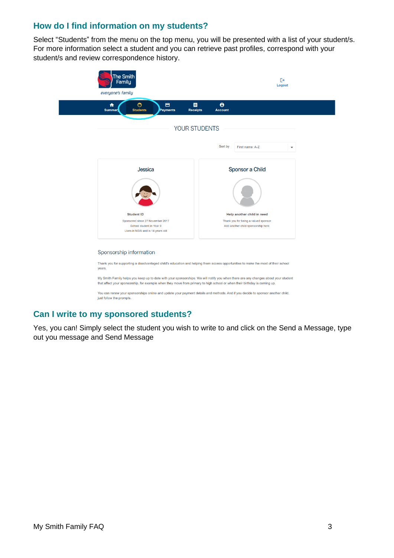## **How do I find information on my students?**

Select "Students" from the menu on the top menu, you will be presented with a list of your student/s. For more information select a student and you can retrieve past profiles, correspond with your student/s and review correspondence history.



## **Can I write to my sponsored students?**

Yes, you can! Simply select the student you wish to write to and click on the Send a Message, type out you message and Send Message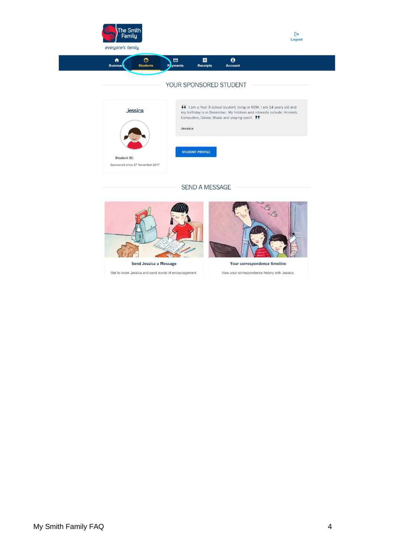



#### SEND A MESSAGE





Get to know Jessica and send words of encouragement.

Your correspondence timeline

View your correspondence history with Jessica.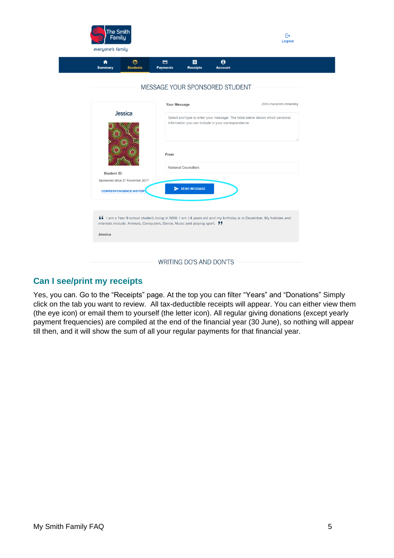| ₩<br><b>Summary</b> | $\odot$<br><b>Students</b>                                                | $\blacksquare$<br><b>Payments</b> | 目<br><b>Receipts</b>        | $\boldsymbol{\Theta}$<br><b>Account</b>             |                                                                                                                 |
|---------------------|---------------------------------------------------------------------------|-----------------------------------|-----------------------------|-----------------------------------------------------|-----------------------------------------------------------------------------------------------------------------|
|                     |                                                                           |                                   |                             | MESSAGE YOUR SPONSORED STUDENT                      |                                                                                                                 |
|                     |                                                                           | <b>Your Message</b>               |                             |                                                     | 2000 characters remaining                                                                                       |
|                     | Jessica                                                                   |                                   |                             | information you can include in your correspondence. | Select and type to enter your message. The table below shows which personal                                     |
|                     |                                                                           | <b>From</b>                       | <b>National Councillors</b> |                                                     |                                                                                                                 |
| <b>Student ID:</b>  |                                                                           |                                   |                             |                                                     |                                                                                                                 |
|                     | Sponsored since 27 November 2017<br><b>CORRESPONDENCE HISTORY</b>         |                                   | SEND MESSAGE                |                                                     |                                                                                                                 |
| Jessica             | interests include: Animals, Computers, Dance, Music and playing sport. 77 |                                   |                             |                                                     | ▲ I am a Year 9 school student, living in NSW. I am 14 years old and my birthday is in December. My hobbies and |

## **Can I see/print my receipts**

Yes, you can. Go to the "Receipts" page. At the top you can filter "Years" and "Donations" Simply click on the tab you want to review. All tax-deductible receipts will appear. You can either view them (the eye icon) or email them to yourself (the letter icon). All regular giving donations (except yearly payment frequencies) are compiled at the end of the financial year (30 June), so nothing will appear till then, and it will show the sum of all your regular payments for that financial year.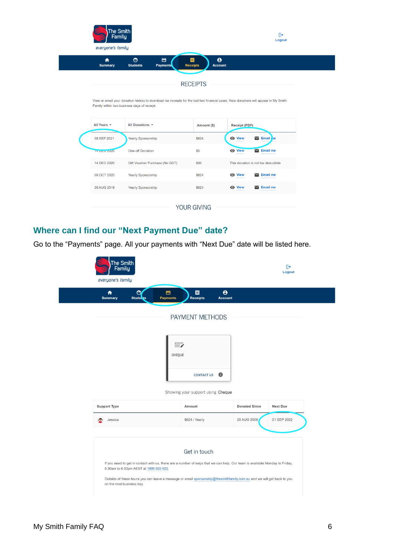| 合<br><b>Summary</b> | $\odot$<br>$\blacksquare$<br><b>Students</b><br><b>Payments</b>                                                                                                                     | 目<br>$\boldsymbol{\Theta}$<br><b>Receipts</b><br><b>Account</b> |                      |                                     |
|---------------------|-------------------------------------------------------------------------------------------------------------------------------------------------------------------------------------|-----------------------------------------------------------------|----------------------|-------------------------------------|
|                     |                                                                                                                                                                                     |                                                                 |                      |                                     |
|                     |                                                                                                                                                                                     | <b>RECEIPTS</b>                                                 |                      |                                     |
|                     | View or email your donation history to download tax receipts for the last two financial years. New donations will appear in My Smith<br>Family within two business days of receipt. |                                                                 |                      |                                     |
|                     |                                                                                                                                                                                     |                                                                 |                      |                                     |
| All Years $\sim$    | All Donations v                                                                                                                                                                     | Amount (\$)                                                     | <b>Receipt (PDF)</b> |                                     |
| 08 SEP 2021         | <b>Yearly Sponsorship</b>                                                                                                                                                           | \$624                                                           | <b>O</b> View        | $\blacktriangleright$ Email re      |
| <b>14 DEC 2020</b>  | <b>One-off Donation</b>                                                                                                                                                             | \$5                                                             | <b>O</b> View        | $\blacktriangleright$ Email me      |
| 14 DEC 2020         | Gift Voucher Purchase (No GST)                                                                                                                                                      | \$50                                                            |                      | This donation is not tax deductible |
| 08 OCT 2020         | Yearly Sponsorship                                                                                                                                                                  | \$624                                                           | <b>O</b> View        | $\breve{ }$<br><b>Email me</b>      |

# **Where can I find our "Next Payment Due" date?**

Go to the "Payments" page. All your payments with "Next Due" date will be listed here.

| $\odot$<br>₳<br><b>Summary</b><br><b>Students</b> | 8<br><b>Payments</b> | 目<br><b>Receipts</b>              | $\boldsymbol{\Theta}$<br><b>Account</b> |                      |                 |
|---------------------------------------------------|----------------------|-----------------------------------|-----------------------------------------|----------------------|-----------------|
|                                                   |                      | PAYMENT METHODS                   |                                         |                      |                 |
|                                                   |                      |                                   |                                         |                      |                 |
|                                                   |                      | $\equiv$<br>CHEQUE                |                                         |                      |                 |
|                                                   |                      |                                   |                                         |                      |                 |
|                                                   |                      | <b>CONTACT US</b>                 | $\bigoplus$                             |                      |                 |
|                                                   |                      | Showing your support using Cheque |                                         |                      |                 |
| <b>Support Type</b>                               |                      | Amount                            |                                         | <b>Donated Since</b> | <b>Next Due</b> |
| Jessica                                           |                      | \$624 / Yearly                    |                                         | 25 AUG 2008          | 01 SEP 2022     |
|                                                   |                      |                                   |                                         |                      |                 |
|                                                   |                      | Get in touch                      |                                         |                      |                 |